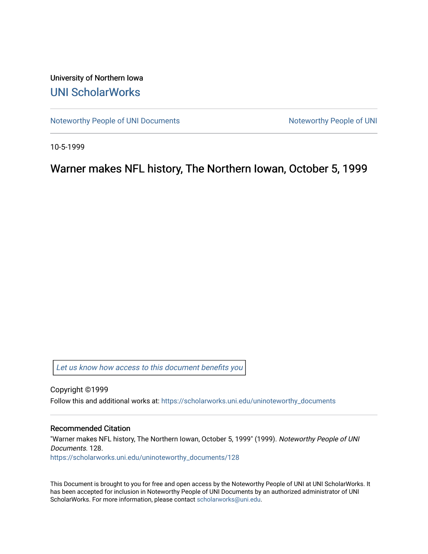University of Northern Iowa [UNI ScholarWorks](https://scholarworks.uni.edu/) 

[Noteworthy People of UNI Documents](https://scholarworks.uni.edu/uninoteworthy_documents) Noteworthy People of UNI

10-5-1999

Warner makes NFL history, The Northern Iowan, October 5, 1999

[Let us know how access to this document benefits you](https://scholarworks.uni.edu/feedback_form.html) 

Copyright ©1999 Follow this and additional works at: [https://scholarworks.uni.edu/uninoteworthy\\_documents](https://scholarworks.uni.edu/uninoteworthy_documents?utm_source=scholarworks.uni.edu%2Funinoteworthy_documents%2F128&utm_medium=PDF&utm_campaign=PDFCoverPages) 

## Recommended Citation

"Warner makes NFL history, The Northern Iowan, October 5, 1999" (1999). Noteworthy People of UNI Documents. 128. [https://scholarworks.uni.edu/uninoteworthy\\_documents/128](https://scholarworks.uni.edu/uninoteworthy_documents/128?utm_source=scholarworks.uni.edu%2Funinoteworthy_documents%2F128&utm_medium=PDF&utm_campaign=PDFCoverPages) 

This Document is brought to you for free and open access by the Noteworthy People of UNI at UNI ScholarWorks. It has been accepted for inclusion in Noteworthy People of UNI Documents by an authorized administrator of UNI ScholarWorks. For more information, please contact [scholarworks@uni.edu](mailto:scholarworks@uni.edu).